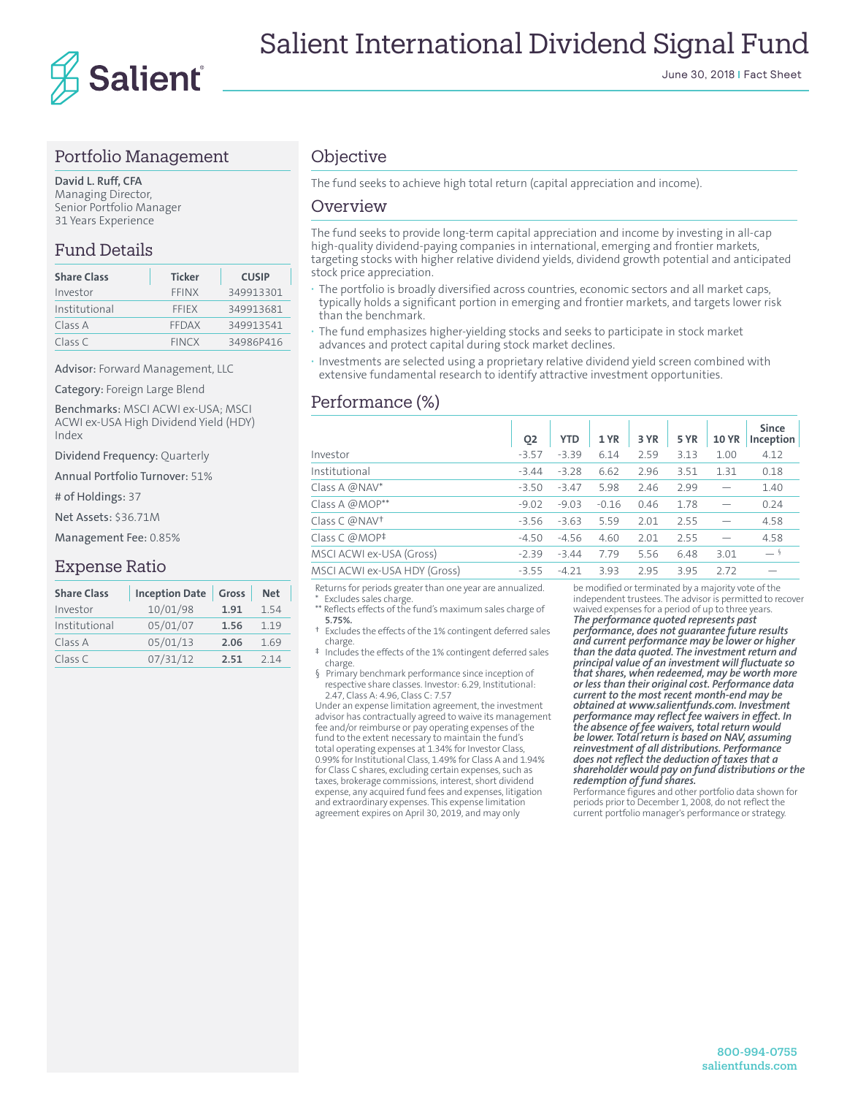

#### Portfolio Management

**David L. Ruff, CFA** Managing Director, Senior Portfolio Manager 31 Years Experience

#### Fund Details

| <b>Share Class</b> | <b>Ticker</b> | <b>CUSIP</b> |
|--------------------|---------------|--------------|
| Investor           | FFINX         | 349913301    |
| Institutional      | <b>FFIFX</b>  | 349913681    |
| Class A            | FFDAX         | 349913541    |
| Class C            | <b>FINCX</b>  | 34986P416    |

Advisor: Forward Management, LLC

Category: Foreign Large Blend

Benchmarks: MSCI ACWI ex-USA; MSCI ACWI ex-USA High Dividend Yield (HDY) Index

Dividend Frequency: Quarterly

Annual Portfolio Turnover: 51%

# of Holdings: 37

Net Assets: \$36.71M

Management Fee: 0.85%

#### Expense Ratio

| <b>Inception Date</b> | Gross | <b>Net</b> |
|-----------------------|-------|------------|
| 10/01/98              | 1.91  | 154        |
| 05/01/07              | 1.56  | 1.19       |
| 05/01/13              | 2.06  | 1.69       |
| 07/31/12              | 2.51  | 214        |
|                       |       |            |

#### **Objective**

The fund seeks to achieve high total return (capital appreciation and income).

#### Overview

The fund seeks to provide long-term capital appreciation and income by investing in all-cap high-quality dividend-paying companies in international, emerging and frontier markets, targeting stocks with higher relative dividend yields, dividend growth potential and anticipated stock price appreciation.

- **·** The portfolio is broadly diversified across countries, economic sectors and all market caps, typically holds a significant portion in emerging and frontier markets, and targets lower risk than the benchmark.
- **·** The fund emphasizes higher-yielding stocks and seeks to participate in stock market advances and protect capital during stock market declines.
- **·** Investments are selected using a proprietary relative dividend yield screen combined with extensive fundamental research to identify attractive investment opportunities.

#### Performance (%)

|                              | Q <sub>2</sub> | <b>YTD</b> | 1 YR    | 3 YR | <b>5 YR</b> | <b>10 YR</b> | <b>Since</b><br>Inception |
|------------------------------|----------------|------------|---------|------|-------------|--------------|---------------------------|
| Investor                     | $-3.57$        | $-3.39$    | 6.14    | 2.59 | 3.13        | 1.00         | 4.12                      |
| Institutional                | $-3.44$        | $-3.28$    | 6.62    | 2.96 | 3.51        | 1.31         | 0.18                      |
| Class A $@NAV^*$             | $-3.50$        | $-3.47$    | 5.98    | 2.46 | 2.99        |              | 1.40                      |
| Class A @MOP**               | $-9.02$        | $-9.03$    | $-0.16$ | 0.46 | 1.78        |              | 0.24                      |
| Class C @NAV <sup>+</sup>    | $-3.56$        | $-3.63$    | 5.59    | 2.01 | 2.55        |              | 4.58                      |
| Class C @MOP <sup>‡</sup>    | $-4.50$        | $-4.56$    | 4.60    | 2.01 | 2.55        |              | 4.58                      |
| MSCI ACWI ex-USA (Gross)     | $-2.39$        | $-3.44$    | 7.79    | 5.56 | 6.48        | 3.01         | $-$ §                     |
| MSCI ACWI ex-USA HDY (Gross) | $-3.55$        | $-4.21$    | 3.93    | 2.95 | 3.95        | 2.72         |                           |

Returns for periods greater than one year are annualized. Excludes sales charge \*\* Reflects effects of the fund's maximum sales charge of

 **5.75%.** † Excludes the effects of the 1% contingent deferred sales

- charge. ‡ Includes the effects of the 1% contingent deferred sales charge.
- § Primary benchmark performance since inception of respective share classes. Investor: 6.29, Institutional: 2.47, Class A: 4.96, Class C: 7.57

Under an expense limitation agreement, the investment advisor has contractually agreed to waive its management fee and/or reimburse or pay operating expenses of the fund to the extent necessary to maintain the fund's total operating expenses at 1.34% for Investor Class, 0.99% for Institutional Class, 1.49% for Class A and 1.94% for Class C shares, excluding certain expenses, such as taxes, brokerage commissions, interest, short dividend expense, any acquired fund fees and expenses, litigation and extraordinary expenses. This expense limitation agreement expires on April 30, 2019, and may only

be modified or terminated by a majority vote of the independent trustees. The advisor is permitted to recover waived expenses for a period of up to three years. *The performance quoted represents past* 

*performance, does not guarantee future results and current performance may be lower or higher than the data quoted. The investment return and principal value of an investment will fluctuate so that shares, when redeemed, may be worth more or less than their original cost. Performance data current to the most recent month-end may be obtained at www.salientfunds.com. Investment performance may reflect fee waivers in effect. In the absence of fee waivers, total return would be lower. Total return is based on NAV, assuming reinvestment of all distributions. Performance does not reflect the deduction of taxes that a shareholder would pay on fund distributions or the redemption of fund shares.*

Performance figures and other portfolio data shown for periods prior to December 1, 2008, do not reflect the current portfolio manager's performance or strategy.